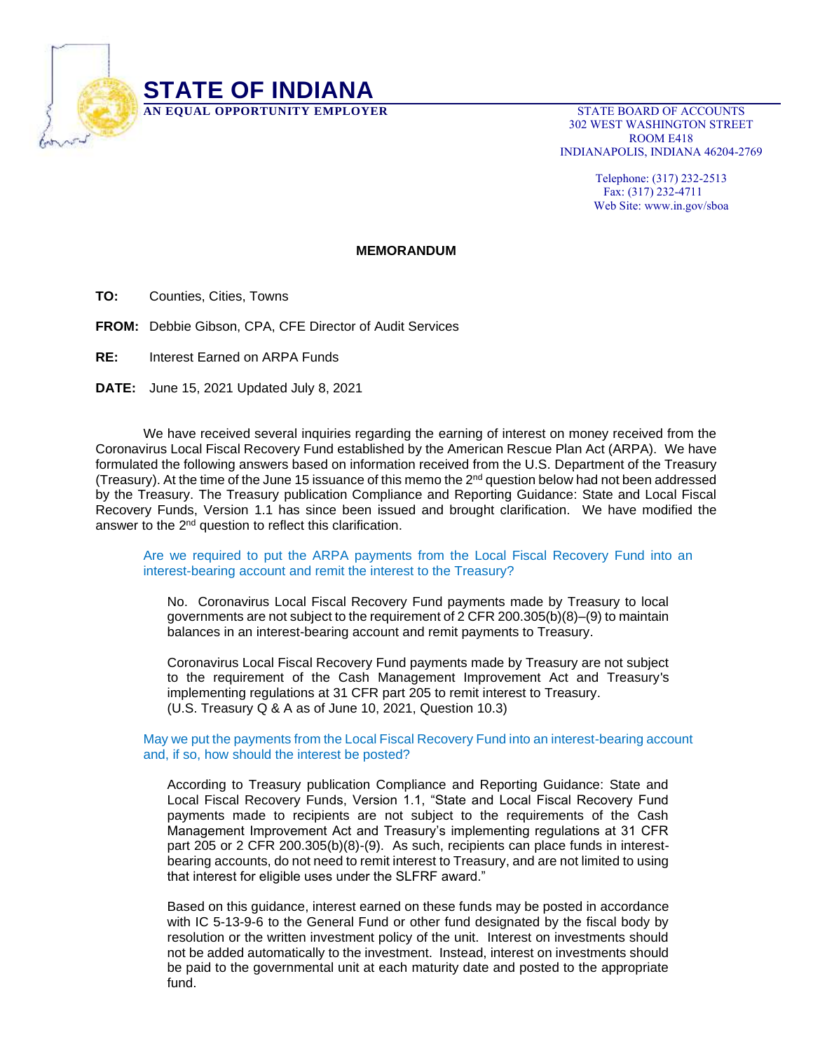

302 WEST WASHINGTON STREET ROOM E418 INDIANAPOLIS, INDIANA 46204-2769

> Telephone: (317) 232-2513 Fax: (317) 232-4711 Web Site: www.in.gov/sboa

## **MEMORANDUM**

**TO:** Counties, Cities, Towns

**FROM:** Debbie Gibson, CPA, CFE Director of Audit Services

**RE:** Interest Earned on ARPA Funds

**DATE:** June 15, 2021 Updated July 8, 2021

We have received several inquiries regarding the earning of interest on money received from the Coronavirus Local Fiscal Recovery Fund established by the American Rescue Plan Act (ARPA). We have formulated the following answers based on information received from the U.S. Department of the Treasury (Treasury). At the time of the June 15 issuance of this memo the 2<sup>nd</sup> question below had not been addressed by the Treasury. The Treasury publication Compliance and Reporting Guidance: State and Local Fiscal Recovery Funds, Version 1.1 has since been issued and brought clarification. We have modified the answer to the 2<sup>nd</sup> question to reflect this clarification.

Are we required to put the ARPA payments from the Local Fiscal Recovery Fund into an interest-bearing account and remit the interest to the Treasury?

No. Coronavirus Local Fiscal Recovery Fund payments made by Treasury to local governments are not subject to the requirement of 2 CFR 200.305(b)(8)–(9) to maintain balances in an interest-bearing account and remit payments to Treasury.

Coronavirus Local Fiscal Recovery Fund payments made by Treasury are not subject to the requirement of the Cash Management Improvement Act and Treasury's implementing regulations at 31 CFR part 205 to remit interest to Treasury. (U.S. Treasury Q & A as of June 10, 2021, Question 10.3)

## May we put the payments from the Local Fiscal Recovery Fund into an interest-bearing account and, if so, how should the interest be posted?

According to Treasury publication Compliance and Reporting Guidance: State and Local Fiscal Recovery Funds, Version 1.1, "State and Local Fiscal Recovery Fund payments made to recipients are not subject to the requirements of the Cash Management Improvement Act and Treasury's implementing regulations at 31 CFR part 205 or 2 CFR 200.305(b)(8)-(9). As such, recipients can place funds in interestbearing accounts, do not need to remit interest to Treasury, and are not limited to using that interest for eligible uses under the SLFRF award."

Based on this guidance, interest earned on these funds may be posted in accordance with IC 5-13-9-6 to the General Fund or other fund designated by the fiscal body by resolution or the written investment policy of the unit. Interest on investments should not be added automatically to the investment. Instead, interest on investments should be paid to the governmental unit at each maturity date and posted to the appropriate fund.